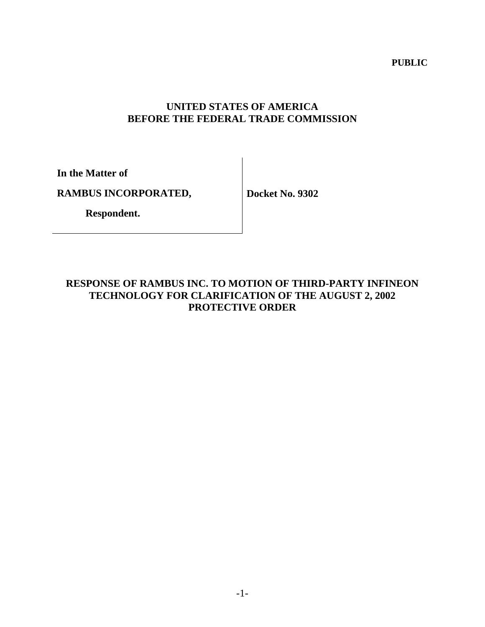**PUBLIC** 

# **UNITED STATES OF AMERICA BEFORE THE FEDERAL TRADE COMMISSION**

**In the Matter of** 

**RAMBUS INCORPORATED,** 

**Docket No. 9302** 

 **Respondent.**

# **RESPONSE OF RAMBUS INC. TO MOTION OF THIRD-PARTY INFINEON TECHNOLOGY FOR CLARIFICATION OF THE AUGUST 2, 2002 PROTECTIVE ORDER**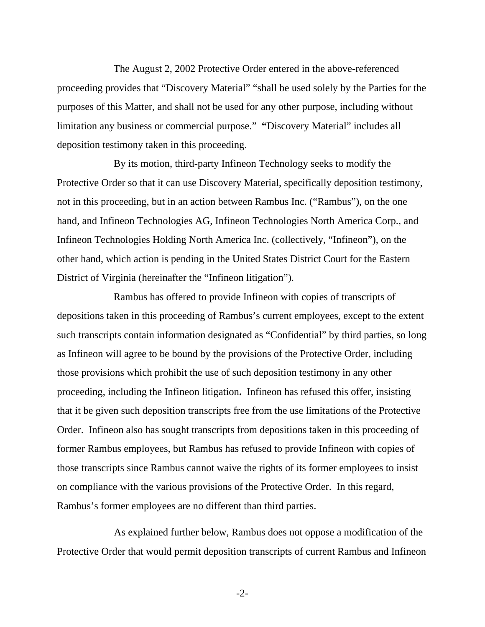The August 2, 2002 Protective Order entered in the above-referenced proceeding provides that "Discovery Material" "shall be used solely by the Parties for the purposes of this Matter, and shall not be used for any other purpose, including without limitation any business or commercial purpose." **"**Discovery Material" includes all deposition testimony taken in this proceeding.

By its motion, third-party Infineon Technology seeks to modify the Protective Order so that it can use Discovery Material, specifically deposition testimony, not in this proceeding, but in an action between Rambus Inc. ("Rambus"), on the one hand, and Infineon Technologies AG, Infineon Technologies North America Corp., and Infineon Technologies Holding North America Inc. (collectively, "Infineon"), on the other hand, which action is pending in the United States District Court for the Eastern District of Virginia (hereinafter the "Infineon litigation").

Rambus has offered to provide Infineon with copies of transcripts of depositions taken in this proceeding of Rambus's current employees, except to the extent such transcripts contain information designated as "Confidential" by third parties, so long as Infineon will agree to be bound by the provisions of the Protective Order, including those provisions which prohibit the use of such deposition testimony in any other proceeding, including the Infineon litigation**.** Infineon has refused this offer, insisting that it be given such deposition transcripts free from the use limitations of the Protective Order. Infineon also has sought transcripts from depositions taken in this proceeding of former Rambus employees, but Rambus has refused to provide Infineon with copies of those transcripts since Rambus cannot waive the rights of its former employees to insist on compliance with the various provisions of the Protective Order. In this regard, Rambus's former employees are no different than third parties.

 As explained further below, Rambus does not oppose a modification of the Protective Order that would permit deposition transcripts of current Rambus and Infineon

-2-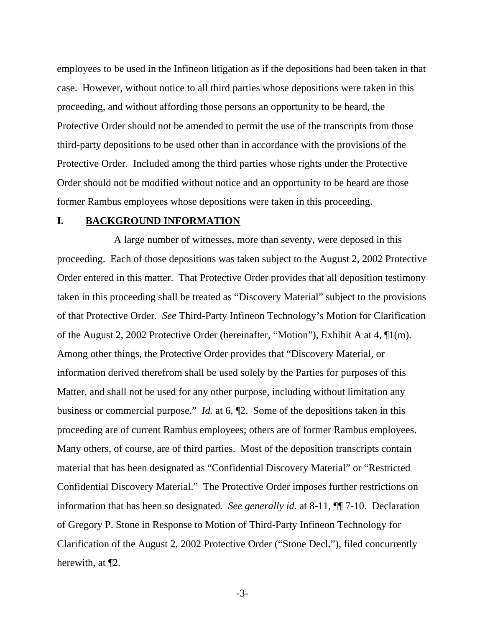employees to be used in the Infineon litigation as if the depositions had been taken in that case. However, without notice to all third parties whose depositions were taken in this proceeding, and without affording those persons an opportunity to be heard, the Protective Order should not be amended to permit the use of the transcripts from those third-party depositions to be used other than in accordance with the provisions of the Protective Order. Included among the third parties whose rights under the Protective Order should not be modified without notice and an opportunity to be heard are those former Rambus employees whose depositions were taken in this proceeding.

#### **I. BACKGROUND INFORMATION**

A large number of witnesses, more than seventy, were deposed in this proceeding. Each of those depositions was taken subject to the August 2, 2002 Protective Order entered in this matter. That Protective Order provides that all deposition testimony taken in this proceeding shall be treated as "Discovery Material" subject to the provisions of that Protective Order. *See* Third-Party Infineon Technology's Motion for Clarification of the August 2, 2002 Protective Order (hereinafter, "Motion"), Exhibit A at 4, ¶1(m). Among other things, the Protective Order provides that "Discovery Material, or information derived therefrom shall be used solely by the Parties for purposes of this Matter, and shall not be used for any other purpose, including without limitation any business or commercial purpose." *Id.* at 6, ¶2. Some of the depositions taken in this proceeding are of current Rambus employees; others are of former Rambus employees. Many others, of course, are of third parties. Most of the deposition transcripts contain material that has been designated as "Confidential Discovery Material" or "Restricted Confidential Discovery Material." The Protective Order imposes further restrictions on information that has been so designated. *See generally id.* at 8-11, ¶¶ 7-10. Declaration of Gregory P. Stone in Response to Motion of Third-Party Infineon Technology for Clarification of the August 2, 2002 Protective Order ("Stone Decl."), filed concurrently herewith, at ¶2.

-3-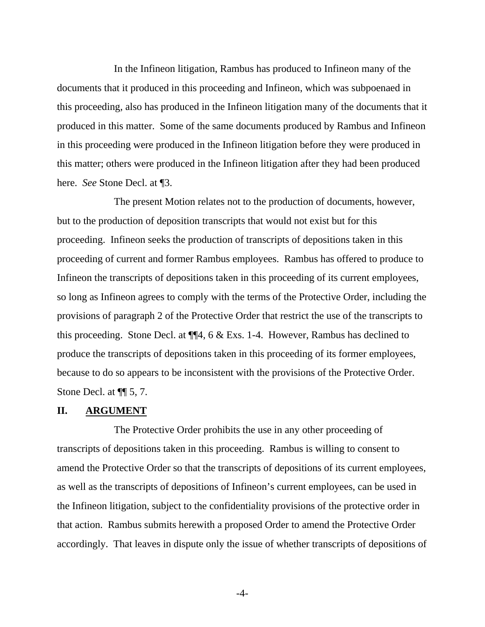In the Infineon litigation, Rambus has produced to Infineon many of the documents that it produced in this proceeding and Infineon, which was subpoenaed in this proceeding, also has produced in the Infineon litigation many of the documents that it produced in this matter. Some of the same documents produced by Rambus and Infineon in this proceeding were produced in the Infineon litigation before they were produced in this matter; others were produced in the Infineon litigation after they had been produced here. *See* Stone Decl. at ¶3.

The present Motion relates not to the production of documents, however, but to the production of deposition transcripts that would not exist but for this proceeding. Infineon seeks the production of transcripts of depositions taken in this proceeding of current and former Rambus employees. Rambus has offered to produce to Infineon the transcripts of depositions taken in this proceeding of its current employees, so long as Infineon agrees to comply with the terms of the Protective Order, including the provisions of paragraph 2 of the Protective Order that restrict the use of the transcripts to this proceeding. Stone Decl. at ¶¶4, 6 & Exs. 1-4. However, Rambus has declined to produce the transcripts of depositions taken in this proceeding of its former employees, because to do so appears to be inconsistent with the provisions of the Protective Order. Stone Decl. at ¶¶ 5, 7.

### **II. ARGUMENT**

 The Protective Order prohibits the use in any other proceeding of transcripts of depositions taken in this proceeding. Rambus is willing to consent to amend the Protective Order so that the transcripts of depositions of its current employees, as well as the transcripts of depositions of Infineon's current employees, can be used in the Infineon litigation, subject to the confidentiality provisions of the protective order in that action. Rambus submits herewith a proposed Order to amend the Protective Order accordingly. That leaves in dispute only the issue of whether transcripts of depositions of

-4-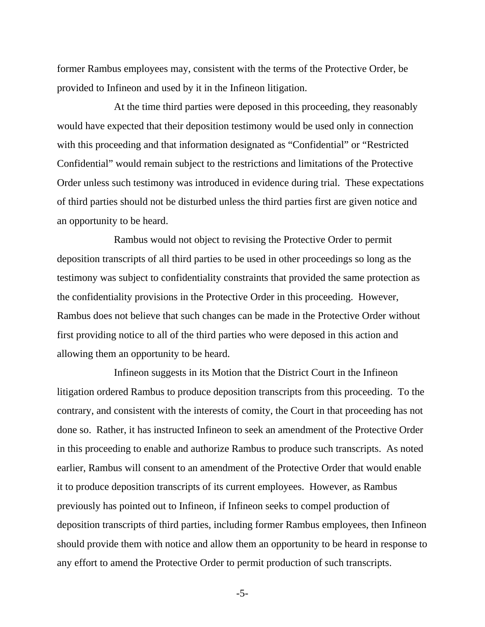former Rambus employees may, consistent with the terms of the Protective Order, be provided to Infineon and used by it in the Infineon litigation.

 At the time third parties were deposed in this proceeding, they reasonably would have expected that their deposition testimony would be used only in connection with this proceeding and that information designated as "Confidential" or "Restricted Confidential" would remain subject to the restrictions and limitations of the Protective Order unless such testimony was introduced in evidence during trial. These expectations of third parties should not be disturbed unless the third parties first are given notice and an opportunity to be heard.

 Rambus would not object to revising the Protective Order to permit deposition transcripts of all third parties to be used in other proceedings so long as the testimony was subject to confidentiality constraints that provided the same protection as the confidentiality provisions in the Protective Order in this proceeding. However, Rambus does not believe that such changes can be made in the Protective Order without first providing notice to all of the third parties who were deposed in this action and allowing them an opportunity to be heard.

 Infineon suggests in its Motion that the District Court in the Infineon litigation ordered Rambus to produce deposition transcripts from this proceeding. To the contrary, and consistent with the interests of comity, the Court in that proceeding has not done so. Rather, it has instructed Infineon to seek an amendment of the Protective Order in this proceeding to enable and authorize Rambus to produce such transcripts. As noted earlier, Rambus will consent to an amendment of the Protective Order that would enable it to produce deposition transcripts of its current employees. However, as Rambus previously has pointed out to Infineon, if Infineon seeks to compel production of deposition transcripts of third parties, including former Rambus employees, then Infineon should provide them with notice and allow them an opportunity to be heard in response to any effort to amend the Protective Order to permit production of such transcripts.

-5-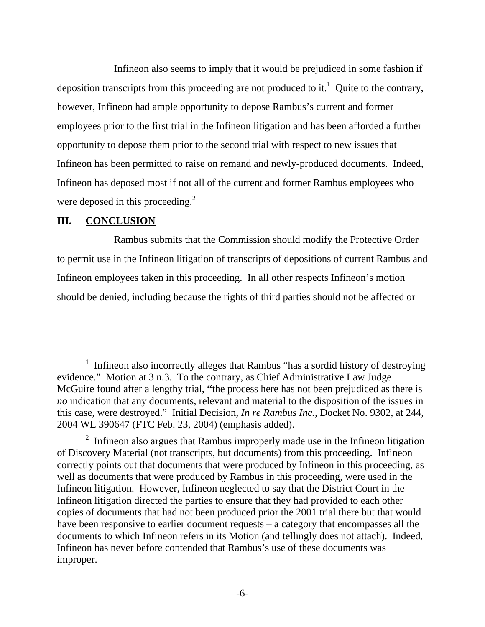Infineon also seems to imply that it would be prejudiced in some fashion if deposition transcripts from this proceeding are not produced to it.<sup>1</sup> Quite to the contrary, however, Infineon had ample opportunity to depose Rambus's current and former employees prior to the first trial in the Infineon litigation and has been afforded a further opportunity to depose them prior to the second trial with respect to new issues that Infineon has been permitted to raise on remand and newly-produced documents. Indeed, Infineon has deposed most if not all of the current and former Rambus employees who were deposed in this proceeding.<sup>2</sup>

### **III. CONCLUSION**

Rambus submits that the Commission should modify the Protective Order to permit use in the Infineon litigation of transcripts of depositions of current Rambus and Infineon employees taken in this proceeding. In all other respects Infineon's motion should be denied, including because the rights of third parties should not be affected or

 $\begin{array}{c}\n\hline\n\end{array}$ <sup>1</sup> Infineon also incorrectly alleges that Rambus "has a sordid history of destroying evidence." Motion at 3 n.3. To the contrary, as Chief Administrative Law Judge McGuire found after a lengthy trial, **"**the process here has not been prejudiced as there is *no* indication that any documents, relevant and material to the disposition of the issues in this case, were destroyed." Initial Decision, *In re Rambus Inc.*, Docket No. 9302, at 244, 2004 WL 390647 (FTC Feb. 23, 2004) (emphasis added).

 $2$  Infineon also argues that Rambus improperly made use in the Infineon litigation of Discovery Material (not transcripts, but documents) from this proceeding. Infineon correctly points out that documents that were produced by Infineon in this proceeding, as well as documents that were produced by Rambus in this proceeding, were used in the Infineon litigation. However, Infineon neglected to say that the District Court in the Infineon litigation directed the parties to ensure that they had provided to each other copies of documents that had not been produced prior the 2001 trial there but that would have been responsive to earlier document requests – a category that encompasses all the documents to which Infineon refers in its Motion (and tellingly does not attach). Indeed, Infineon has never before contended that Rambus's use of these documents was improper.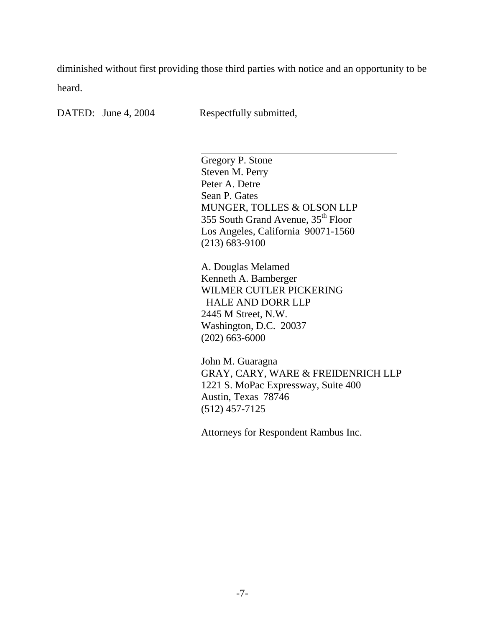diminished without first providing those third parties with notice and an opportunity to be heard.

DATED: June 4, 2004 Respectfully submitted,

l

Gregory P. Stone Steven M. Perry Peter A. Detre Sean P. Gates MUNGER, TOLLES & OLSON LLP 355 South Grand Avenue, 35<sup>th</sup> Floor Los Angeles, California 90071-1560 (213) 683-9100

A. Douglas Melamed Kenneth A. Bamberger WILMER CUTLER PICKERING HALE AND DORR LLP 2445 M Street, N.W. Washington, D.C. 20037 (202) 663-6000

John M. Guaragna GRAY, CARY, WARE & FREIDENRICH LLP 1221 S. MoPac Expressway, Suite 400 Austin, Texas 78746 (512) 457-7125

Attorneys for Respondent Rambus Inc.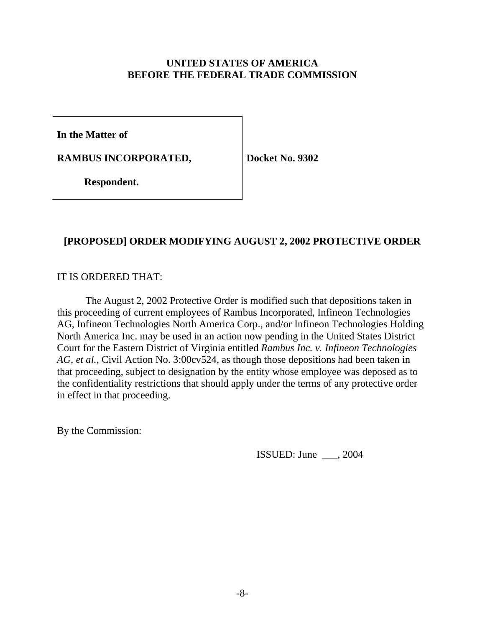## **UNITED STATES OF AMERICA BEFORE THE FEDERAL TRADE COMMISSION**

**In the Matter of** 

**RAMBUS INCORPORATED,** 

**Docket No. 9302** 

 **Respondent.**

# **[PROPOSED] ORDER MODIFYING AUGUST 2, 2002 PROTECTIVE ORDER**

# IT IS ORDERED THAT:

 The August 2, 2002 Protective Order is modified such that depositions taken in this proceeding of current employees of Rambus Incorporated, Infineon Technologies AG, Infineon Technologies North America Corp., and/or Infineon Technologies Holding North America Inc. may be used in an action now pending in the United States District Court for the Eastern District of Virginia entitled *Rambus Inc. v. Infineon Technologies AG, et al.*, Civil Action No. 3:00cv524, as though those depositions had been taken in that proceeding, subject to designation by the entity whose employee was deposed as to the confidentiality restrictions that should apply under the terms of any protective order in effect in that proceeding.

By the Commission:

ISSUED: June \_\_\_, 2004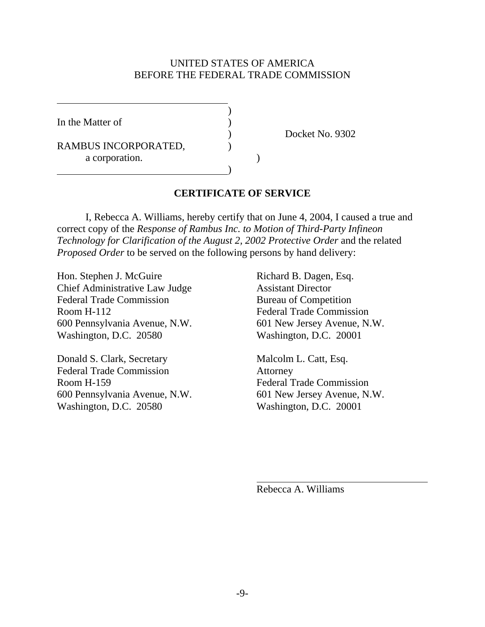### UNITED STATES OF AMERICA BEFORE THE FEDERAL TRADE COMMISSION

In the Matter of

 $\overline{a}$ 

RAMBUS INCORPORATED, a corporation.

 $\overline{\phantom{a}}$ 

)

) Docket No. 9302

# **CERTIFICATE OF SERVICE**

 I, Rebecca A. Williams, hereby certify that on June 4, 2004, I caused a true and correct copy of the *Response of Rambus Inc. to Motion of Third-Party Infineon Technology for Clarification of the August 2, 2002 Protective Order* and the related *Proposed Order* to be served on the following persons by hand delivery:

Hon. Stephen J. McGuire Richard B. Dagen, Esq. Chief Administrative Law Judge Assistant Director Federal Trade Commission Bureau of Competition Room H-112 Federal Trade Commission 600 Pennsylvania Avenue, N.W. 601 New Jersey Avenue, N.W. Washington, D.C. 20580 Washington, D.C. 20001

Donald S. Clark, Secretary Malcolm L. Catt, Esq. Federal Trade Commission Attorney Room H-159 Federal Trade Commission 600 Pennsylvania Avenue, N.W. 601 New Jersey Avenue, N.W. Washington, D.C. 20580 Washington, D.C. 20001

Rebecca A. Williams